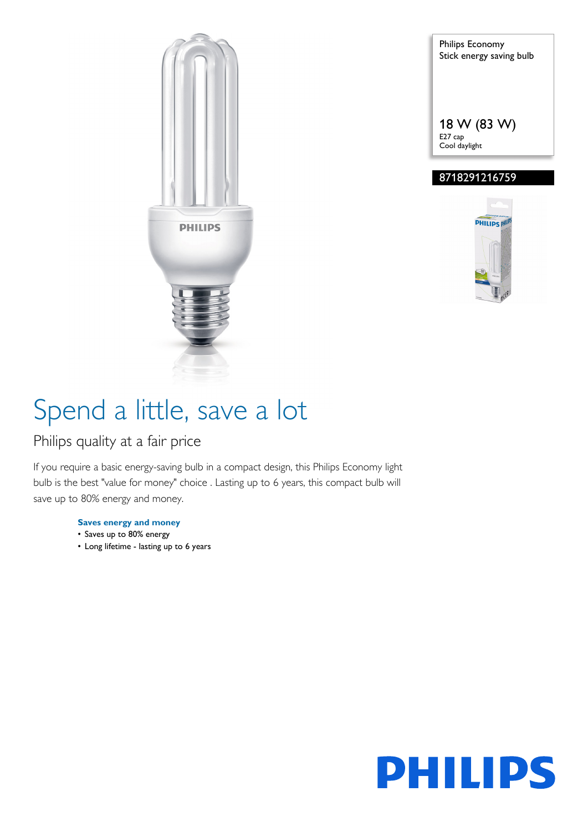

Philips Economy Stick energy saving bulb 18 W (83 W) E27 cap Cool daylight

### 8718291216759



# Spend a little, save a lot

### Philips quality at a fair price

If you require a basic energy-saving bulb in a compact design, this Philips Economy light bulb is the best "value for money" choice . Lasting up to 6 years, this compact bulb will save up to 80% energy and money.

#### **Saves energy and money**

- Saves up to 80% energy
- Long lifetime lasting up to 6 years